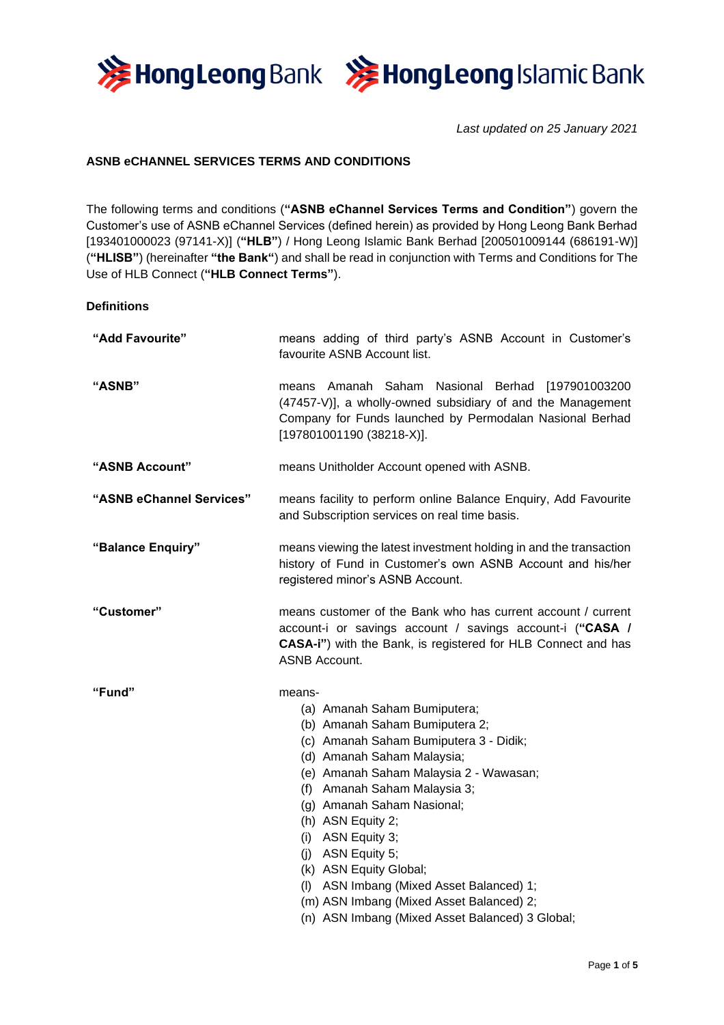



*Last updated on 25 January 2021*

# **ASNB eCHANNEL SERVICES TERMS AND CONDITIONS**

The following terms and conditions (**"ASNB eChannel Services Terms and Condition"**) govern the Customer's use of ASNB eChannel Services (defined herein) as provided by Hong Leong Bank Berhad [193401000023 (97141-X)] (**"HLB"**) / Hong Leong Islamic Bank Berhad [200501009144 (686191-W)] (**"HLISB"**) (hereinafter **"the Bank"**) and shall be read in conjunction with Terms and Conditions for The Use of HLB Connect (**"HLB Connect Terms"**).

## **Definitions**

| "Add Favourite"          | means adding of third party's ASNB Account in Customer's<br>favourite ASNB Account list.                                                                                                                                                                                                                                                                                                                                                                                                       |  |
|--------------------------|------------------------------------------------------------------------------------------------------------------------------------------------------------------------------------------------------------------------------------------------------------------------------------------------------------------------------------------------------------------------------------------------------------------------------------------------------------------------------------------------|--|
| "ASNB"                   | means Amanah Saham Nasional Berhad [197901003200<br>(47457-V)], a wholly-owned subsidiary of and the Management<br>Company for Funds launched by Permodalan Nasional Berhad<br>$[197801001190(38218-X)].$                                                                                                                                                                                                                                                                                      |  |
| "ASNB Account"           | means Unitholder Account opened with ASNB.                                                                                                                                                                                                                                                                                                                                                                                                                                                     |  |
| "ASNB eChannel Services" | means facility to perform online Balance Enquiry, Add Favourite<br>and Subscription services on real time basis.                                                                                                                                                                                                                                                                                                                                                                               |  |
| "Balance Enquiry"        | means viewing the latest investment holding in and the transaction<br>history of Fund in Customer's own ASNB Account and his/her<br>registered minor's ASNB Account.                                                                                                                                                                                                                                                                                                                           |  |
| "Customer"               | means customer of the Bank who has current account / current<br>account-i or savings account / savings account-i ("CASA /<br>CASA-i") with the Bank, is registered for HLB Connect and has<br><b>ASNB Account.</b>                                                                                                                                                                                                                                                                             |  |
| "Fund"                   | means-<br>(a) Amanah Saham Bumiputera;<br>(b) Amanah Saham Bumiputera 2;<br>(c) Amanah Saham Bumiputera 3 - Didik;<br>(d) Amanah Saham Malaysia;<br>(e) Amanah Saham Malaysia 2 - Wawasan;<br>(f) Amanah Saham Malaysia 3;<br>(g) Amanah Saham Nasional;<br>(h) ASN Equity 2;<br>(i) ASN Equity 3;<br>$(i)$ ASN Equity 5;<br>(k) ASN Equity Global;<br>(I) ASN Imbang (Mixed Asset Balanced) 1;<br>(m) ASN Imbang (Mixed Asset Balanced) 2;<br>(n) ASN Imbang (Mixed Asset Balanced) 3 Global; |  |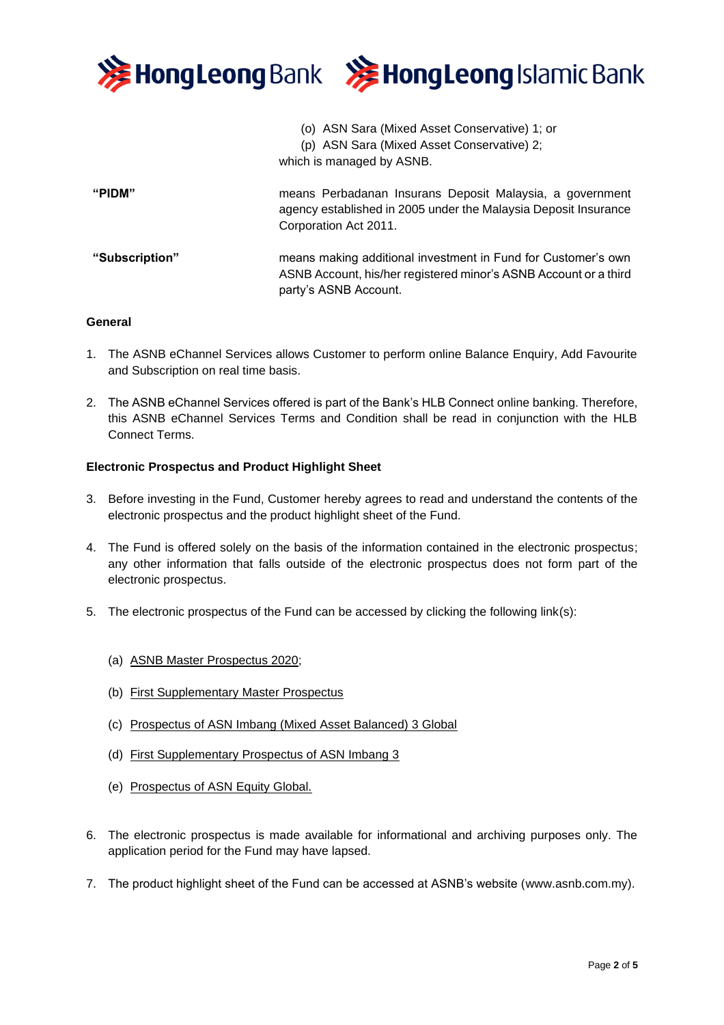

## **General**

- 1. The ASNB eChannel Services allows Customer to perform online Balance Enquiry, Add Favourite and Subscription on real time basis.
- 2. The ASNB eChannel Services offered is part of the Bank's HLB Connect online banking. Therefore, this ASNB eChannel Services Terms and Condition shall be read in conjunction with the HLB Connect Terms.

## **Electronic Prospectus and Product Highlight Sheet**

- 3. Before investing in the Fund, Customer hereby agrees to read and understand the contents of the electronic prospectus and the product highlight sheet of the Fund.
- 4. The Fund is offered solely on the basis of the information contained in the electronic prospectus; any other information that falls outside of the electronic prospectus does not form part of the electronic prospectus.
- 5. The electronic prospectus of the Fund can be accessed by clicking the following link(s):
	- (a) [ASNB Master Prospectus 2020;](https://www.hlisb.com.my/content/dam/hlisb-new/my/docs/ASBFinancing-i/hlisb-asnb-master-prospectus.pdf)
	- (b) [First Supplementary Master Prospectus](https://www.asnb.com.my/pdf/produk/MASTERPROSPECTUS/2021/FSMP201021.pdf)
	- (c) [Prospectus of ASN Imbang \(Mixed Asset Balanced\) 3 Global](https://www.hlisb.com.my/content/dam/hlisb-new/my/docs/ASBFinancing-i/hlisb-asn-imbang-3-global-prospectus.pdf)
	- (d) [First Supplementary Prospectus of ASN Imbang 3](https://www.asnb.com.my/pdf/produk/MASTERPROSPECTUS/2021/FSP_ASNI3G_201021.pdf)
	- (e) [Prospectus of ASN Equity Global.](https://www.hlisb.com.my/content/dam/hlisb-new/my/docs/ASBFinancing-i/hlisb-asn-equity-global-prospectus.pdf)
- 6. The electronic prospectus is made available for informational and archiving purposes only. The application period for the Fund may have lapsed.
- 7. The product highlight sheet of the Fund can be accessed at ASNB's website (www.asnb.com.my).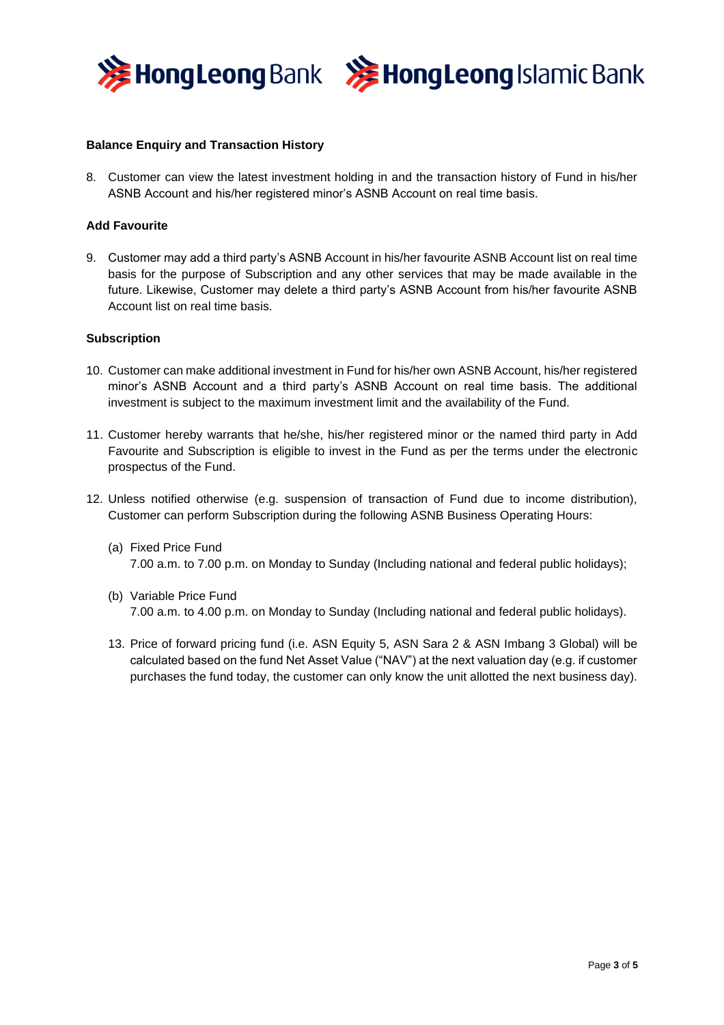



## **Balance Enquiry and Transaction History**

8. Customer can view the latest investment holding in and the transaction history of Fund in his/her ASNB Account and his/her registered minor's ASNB Account on real time basis.

#### **Add Favourite**

9. Customer may add a third party's ASNB Account in his/her favourite ASNB Account list on real time basis for the purpose of Subscription and any other services that may be made available in the future. Likewise, Customer may delete a third party's ASNB Account from his/her favourite ASNB Account list on real time basis.

#### **Subscription**

- 10. Customer can make additional investment in Fund for his/her own ASNB Account, his/her registered minor's ASNB Account and a third party's ASNB Account on real time basis. The additional investment is subject to the maximum investment limit and the availability of the Fund.
- 11. Customer hereby warrants that he/she, his/her registered minor or the named third party in Add Favourite and Subscription is eligible to invest in the Fund as per the terms under the electronic prospectus of the Fund.
- 12. Unless notified otherwise (e.g. suspension of transaction of Fund due to income distribution), Customer can perform Subscription during the following ASNB Business Operating Hours:
	- (a) Fixed Price Fund 7.00 a.m. to 7.00 p.m. on Monday to Sunday (Including national and federal public holidays);
	- (b) Variable Price Fund 7.00 a.m. to 4.00 p.m. on Monday to Sunday (Including national and federal public holidays).
	- 13. Price of forward pricing fund (i.e. ASN Equity 5, ASN Sara 2 & ASN Imbang 3 Global) will be calculated based on the fund Net Asset Value ("NAV") at the next valuation day (e.g. if customer purchases the fund today, the customer can only know the unit allotted the next business day).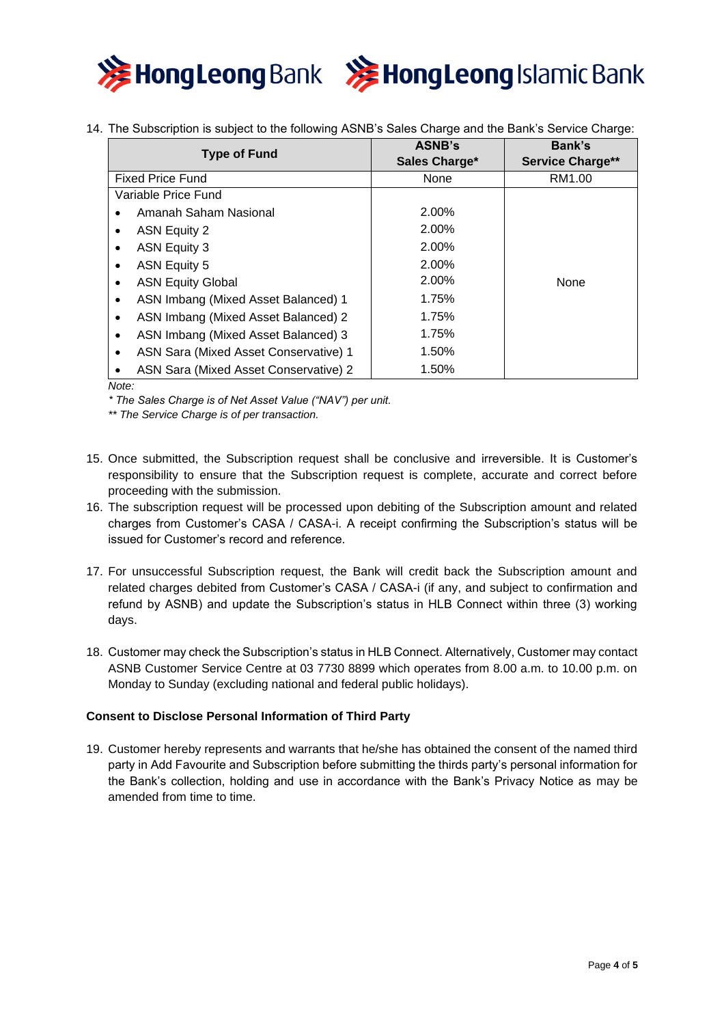

14. The Subscription is subject to the following ASNB's Sales Charge and the Bank's Service Charge:

| <b>Type of Fund</b>                              | <b>ASNB's</b> | Bank's                  |
|--------------------------------------------------|---------------|-------------------------|
|                                                  | Sales Charge* | <b>Service Charge**</b> |
| <b>Fixed Price Fund</b>                          | None          | RM1.00                  |
| Variable Price Fund                              |               |                         |
| Amanah Saham Nasional<br>$\bullet$               | 2.00%         |                         |
| <b>ASN Equity 2</b><br>٠                         | 2.00%         |                         |
| ASN Equity 3<br>٠                                | 2.00%         |                         |
| ASN Equity 5<br>$\bullet$                        | 2.00%         |                         |
| <b>ASN Equity Global</b><br>٠                    | 2.00%         | <b>None</b>             |
| ASN Imbang (Mixed Asset Balanced) 1<br>٠         | 1.75%         |                         |
| ASN Imbang (Mixed Asset Balanced) 2<br>$\bullet$ | 1.75%         |                         |
| ASN Imbang (Mixed Asset Balanced) 3<br>$\bullet$ | 1.75%         |                         |
| ASN Sara (Mixed Asset Conservative) 1<br>٠       | 1.50%         |                         |
| ASN Sara (Mixed Asset Conservative) 2            | 1.50%         |                         |

*Note:*

*\* The Sales Charge is of Net Asset Value ("NAV") per unit.*

*\*\* The Service Charge is of per transaction.*

- 15. Once submitted, the Subscription request shall be conclusive and irreversible. It is Customer's responsibility to ensure that the Subscription request is complete, accurate and correct before proceeding with the submission.
- 16. The subscription request will be processed upon debiting of the Subscription amount and related charges from Customer's CASA / CASA-i. A receipt confirming the Subscription's status will be issued for Customer's record and reference.
- 17. For unsuccessful Subscription request, the Bank will credit back the Subscription amount and related charges debited from Customer's CASA / CASA-i (if any, and subject to confirmation and refund by ASNB) and update the Subscription's status in HLB Connect within three (3) working days.
- 18. Customer may check the Subscription's status in HLB Connect. Alternatively, Customer may contact ASNB Customer Service Centre at 03 7730 8899 which operates from 8.00 a.m. to 10.00 p.m. on Monday to Sunday (excluding national and federal public holidays).

# **Consent to Disclose Personal Information of Third Party**

19. Customer hereby represents and warrants that he/she has obtained the consent of the named third party in Add Favourite and Subscription before submitting the thirds party's personal information for the Bank's collection, holding and use in accordance with the Bank's Privacy Notice as may be amended from time to time.